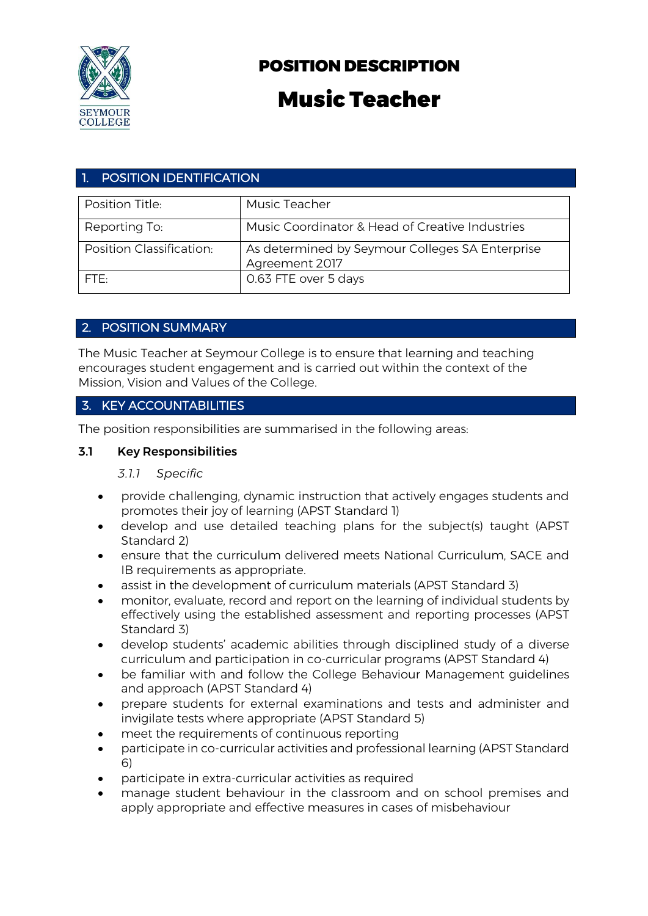

## POSITION DESCRIPTION

# Music Teacher

## 1. POSITION IDENTIFICATION

| Position Title:          | Music Teacher                                                     |
|--------------------------|-------------------------------------------------------------------|
| Reporting To:            | Music Coordinator & Head of Creative Industries                   |
| Position Classification: | As determined by Seymour Colleges SA Enterprise<br>Agreement 2017 |
| FTF.                     | 0.63 FTE over 5 days                                              |

## 2. POSITION SUMMARY

The Music Teacher at Seymour College is to ensure that learning and teaching encourages student engagement and is carried out within the context of the Mission, Vision and Values of the College.

## 3. KEY ACCOUNTABILITIES

The position responsibilities are summarised in the following areas:

#### 3.1 Key Responsibilities

#### *3.1.1 Specific*

- provide challenging, dynamic instruction that actively engages students and promotes their joy of learning (APST Standard 1)
- develop and use detailed teaching plans for the subject(s) taught (APST Standard 2)
- ensure that the curriculum delivered meets National Curriculum, SACE and IB requirements as appropriate.
- assist in the development of curriculum materials (APST Standard 3)
- monitor, evaluate, record and report on the learning of individual students by effectively using the established assessment and reporting processes (APST Standard 3)
- develop students' academic abilities through disciplined study of a diverse curriculum and participation in co-curricular programs (APST Standard 4)
- be familiar with and follow the College Behaviour Management guidelines and approach (APST Standard 4)
- prepare students for external examinations and tests and administer and invigilate tests where appropriate (APST Standard 5)
- meet the requirements of continuous reporting
- participate in co-curricular activities and professional learning (APST Standard 6)
- participate in extra-curricular activities as required
- manage student behaviour in the classroom and on school premises and apply appropriate and effective measures in cases of misbehaviour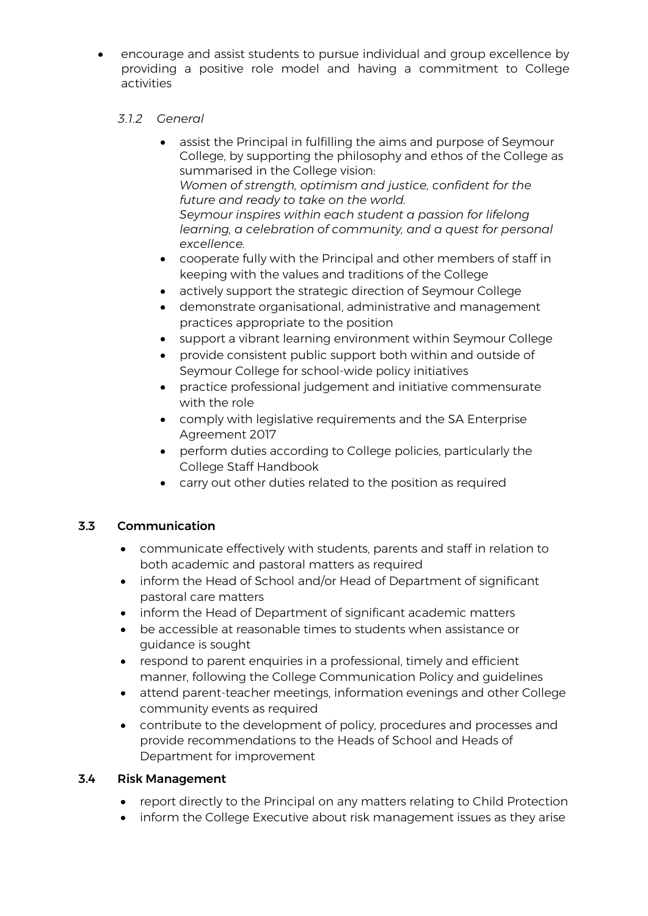• encourage and assist students to pursue individual and group excellence by providing a positive role model and having a commitment to College activities

#### *3.1.2 General*

- assist the Principal in fulfilling the aims and purpose of Seymour College, by supporting the philosophy and ethos of the College as summarised in the College vision: *Women of strength, optimism and justice, confident for the future and ready to take on the world. Seymour inspires within each student a passion for lifelong learning, a celebration of community, and a quest for personal excellence.*
- cooperate fully with the Principal and other members of staff in keeping with the values and traditions of the College
- actively support the strategic direction of Seymour College
- demonstrate organisational, administrative and management practices appropriate to the position
- support a vibrant learning environment within Seymour College
- provide consistent public support both within and outside of Seymour College for school-wide policy initiatives
- practice professional judgement and initiative commensurate with the role
- comply with legislative requirements and the SA Enterprise Agreement 2017
- perform duties according to College policies, particularly the College Staff Handbook
- carry out other duties related to the position as required

## 3.3 Communication

- communicate effectively with students, parents and staff in relation to both academic and pastoral matters as required
- inform the Head of School and/or Head of Department of significant pastoral care matters
- inform the Head of Department of significant academic matters
- be accessible at reasonable times to students when assistance or guidance is sought
- respond to parent enquiries in a professional, timely and efficient manner, following the College Communication Policy and guidelines
- attend parent-teacher meetings, information evenings and other College community events as required
- contribute to the development of policy, procedures and processes and provide recommendations to the Heads of School and Heads of Department for improvement

#### 3.4 Risk Management

- report directly to the Principal on any matters relating to Child Protection
- inform the College Executive about risk management issues as they arise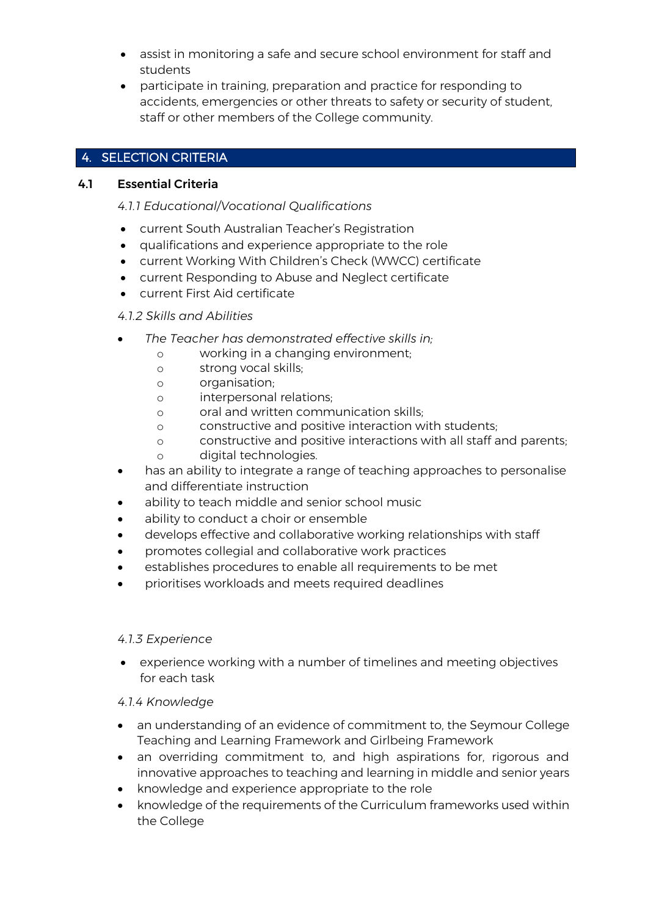- assist in monitoring a safe and secure school environment for staff and students
- participate in training, preparation and practice for responding to accidents, emergencies or other threats to safety or security of student, staff or other members of the College community.

## 4. SELECTION CRITERIA

## 4.1 Essential Criteria

*4.1.1 Educational/Vocational Qualifications* 

- current South Australian Teacher's Registration
- qualifications and experience appropriate to the role
- current Working With Children's Check (WWCC) certificate
- current Responding to Abuse and Neglect certificate
- current First Aid certificate

#### *4.1.2 Skills and Abilities*

- *The Teacher has demonstrated effective skills in;* 
	- o working in a changing environment;
	- o strong vocal skills;
	- o organisation;
	- o interpersonal relations;
	- o oral and written communication skills;
	- o constructive and positive interaction with students;
	- o constructive and positive interactions with all staff and parents;
	- o digital technologies.
- has an ability to integrate a range of teaching approaches to personalise and differentiate instruction
- ability to teach middle and senior school music
- ability to conduct a choir or ensemble
- develops effective and collaborative working relationships with staff
- promotes collegial and collaborative work practices
- establishes procedures to enable all requirements to be met
- prioritises workloads and meets required deadlines

#### *4.1.3 Experience*

• experience working with a number of timelines and meeting objectives for each task

#### *4.1.4 Knowledge*

- an understanding of an evidence of commitment to, the Seymour College Teaching and Learning Framework and Girlbeing Framework
- an overriding commitment to, and high aspirations for, rigorous and innovative approaches to teaching and learning in middle and senior years
- knowledge and experience appropriate to the role
- knowledge of the requirements of the Curriculum frameworks used within the College